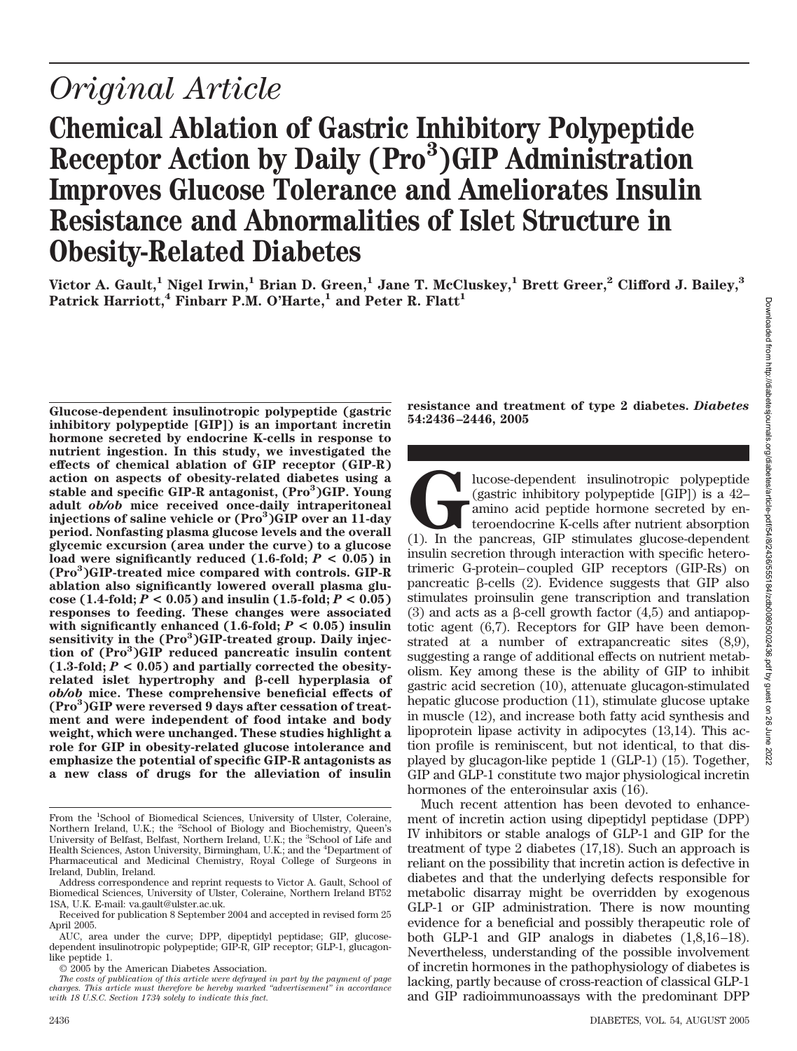# *Original Article*

# **Chemical Ablation of Gastric Inhibitory Polypeptide** Receptor Action by Daily (Pro<sup>3</sup>)GIP Administration **Improves Glucose Tolerance and Ameliorates Insulin Resistance and Abnormalities of Islet Structure in Obesity-Related Diabetes**

Victor A. Gault,<sup>1</sup> Nigel Irwin,<sup>1</sup> Brian D. Green,<sup>1</sup> Jane T. McCluskey,<sup>1</sup> Brett Greer,<sup>2</sup> Clifford J. Bailey,<sup>3</sup> Patrick Harriott,<sup>4</sup> Finbarr P.M. O'Harte,<sup>1</sup> and Peter R. Flatt<sup>1</sup>

**Glucose-dependent insulinotropic polypeptide (gastric inhibitory polypeptide [GIP]) is an important incretin hormone secreted by endocrine K-cells in response to nutrient ingestion. In this study, we investigated the effects of chemical ablation of GIP receptor (GIP-R) action on aspects of obesity-related diabetes using a** stable and specific GIP-R antagonist, (Pro<sup>3</sup>)GIP. Young **adult** *ob/ob* **mice received once-daily intraperitoneal injections of saline vehicle or (Pro3 )GIP over an 11-day period. Nonfasting plasma glucose levels and the overall glycemic excursion (area under the curve) to a glucose load were significantly reduced (1.6-fold;** *P* **< 0.05) in (Pro3 )GIP-treated mice compared with controls. GIP-R ablation also significantly lowered overall plasma glucose** (1.4-fold;  $P < 0.05$ ) and insulin (1.5-fold;  $P < 0.05$ ) **responses to feeding. These changes were associated with significantly enhanced (1.6-fold;** *P* **< 0.05) insulin** sensitivity in the (Pro<sup>3</sup>)GIP-treated group. Daily injec**tion of (Pro3 )GIP reduced pancreatic insulin content**  $(1.3\text{-fold}; P < 0.05)$  and partially corrected the obesityrelated islet hypertrophy and β-cell hyperplasia of *ob/ob* **mice. These comprehensive beneficial effects of (Pro3 )GIP were reversed 9 days after cessation of treatment and were independent of food intake and body weight, which were unchanged. These studies highlight a role for GIP in obesity-related glucose intolerance and emphasize the potential of specific GIP-R antagonists as a new class of drugs for the alleviation of insulin**

**resistance and treatment of type 2 diabetes.** *Diabetes* **54:2436–2446, 2005**

Iucose-dependent insulinotropic polypeptide<br>
(gastric inhibitory polypeptide [GIP]) is a 42–<br>
amino acid peptide hormone secreted by en-<br>
teroendocrine K-cells after nutrient absorption<br>
(1). In the pancreas, GIP stimulate (gastric inhibitory polypeptide [GIP]) is a 42– amino acid peptide hormone secreted by enteroendocrine K-cells after nutrient absorption insulin secretion through interaction with specific heterotrimeric G-protein–coupled GIP receptors (GIP-Rs) on pancreatic  $\beta$ -cells (2). Evidence suggests that GIP also stimulates proinsulin gene transcription and translation (3) and acts as a  $\beta$ -cell growth factor (4,5) and antiapoptotic agent (6,7). Receptors for GIP have been demonstrated at a number of extrapancreatic sites (8,9), suggesting a range of additional effects on nutrient metabolism. Key among these is the ability of GIP to inhibit gastric acid secretion (10), attenuate glucagon-stimulated hepatic glucose production (11), stimulate glucose uptake in muscle (12), and increase both fatty acid synthesis and lipoprotein lipase activity in adipocytes (13,14). This action profile is reminiscent, but not identical, to that displayed by glucagon-like peptide 1 (GLP-1) (15). Together, GIP and GLP-1 constitute two major physiological incretin hormones of the enteroinsular axis (16).

Much recent attention has been devoted to enhancement of incretin action using dipeptidyl peptidase (DPP) IV inhibitors or stable analogs of GLP-1 and GIP for the treatment of type 2 diabetes (17,18). Such an approach is reliant on the possibility that incretin action is defective in diabetes and that the underlying defects responsible for metabolic disarray might be overridden by exogenous GLP-1 or GIP administration. There is now mounting evidence for a beneficial and possibly therapeutic role of both GLP-1 and GIP analogs in diabetes (1,8,16–18). Nevertheless, understanding of the possible involvement of incretin hormones in the pathophysiology of diabetes is lacking, partly because of cross-reaction of classical GLP-1 and GIP radioimmunoassays with the predominant DPP

From the <sup>1</sup>School of Biomedical Sciences, University of Ulster, Coleraine, Northern Ireland, U.K.; the <sup>2</sup>School of Biology and Biochemistry, Queen's<br>University of Belfast, Belfast, Northern Ireland, U.K.; the <sup>3</sup>School of Life and Health Sciences, Aston University, Birmingham, U.K.; and the <sup>4</sup> Department of Pharmaceutical and Medicinal Chemistry, Royal College of Surgeons in Ireland, Dublin, Ireland.

Address correspondence and reprint requests to Victor A. Gault, School of Biomedical Sciences, University of Ulster, Coleraine, Northern Ireland BT52 1SA, U.K. E-mail: va.gault@ulster.ac.uk.

Received for publication 8 September 2004 and accepted in revised form 25 April 2005.

AUC, area under the curve; DPP, dipeptidyl peptidase; GIP, glucosedependent insulinotropic polypeptide; GIP-R, GIP receptor; GLP-1, glucagonlike peptide 1.

<sup>© 2005</sup> by the American Diabetes Association.

*The costs of publication of this article were defrayed in part by the payment of page charges. This article must therefore be hereby marked "advertisement" in accordance with 18 U.S.C. Section 1734 solely to indicate this fact.*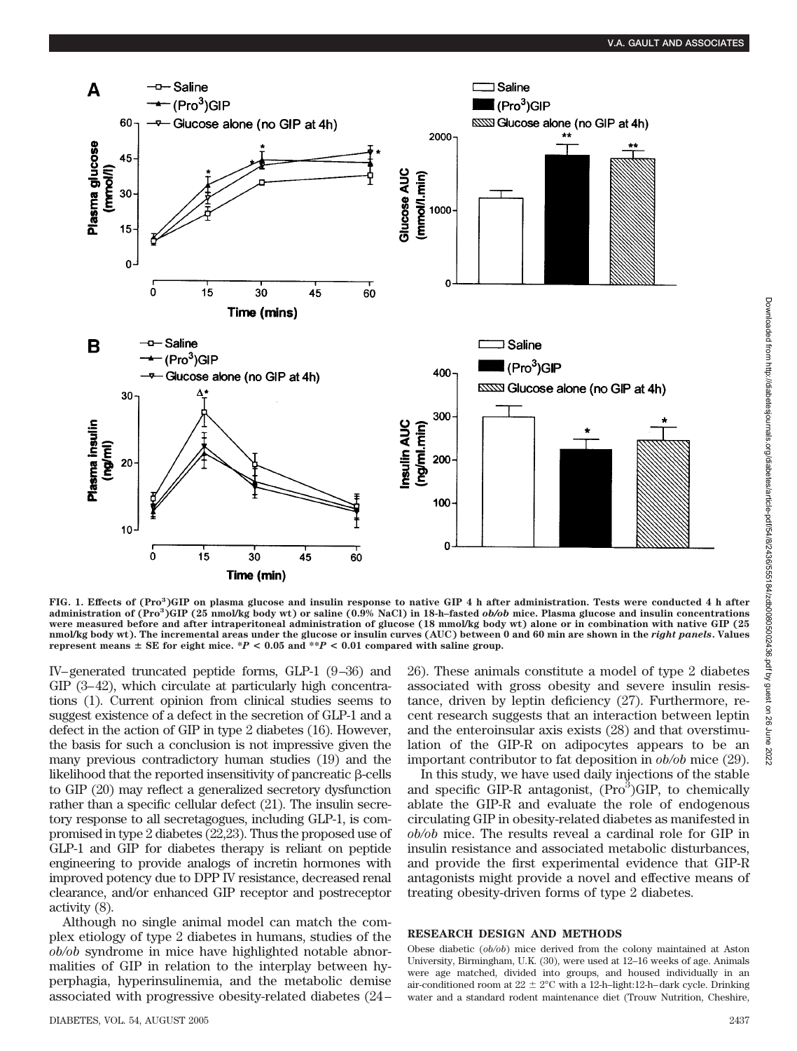

FIG. 1. Effects of (Pro<sup>3</sup>)GIP on plasma glucose and insulin response to native GIP 4 h after administration. Tests were conducted 4 h after **administration of (Pro<sup>3</sup> )GIP (25 nmol/kg body wt) or saline (0.9% NaCl) in 18-h–fasted** *ob/ob* **mice. Plasma glucose and insulin concentrations were measured before and after intraperitoneal administration of glucose (18 mmol/kg body wt) alone or in combination with native GIP (25 nmol/kg body wt). The incremental areas under the glucose or insulin curves (AUC) between 0 and 60 min are shown in the** *right panels***. Values represent means**  $\pm$  SE for eight mice. \**P* < 0.05 and \*\**P* < 0.01 compared with saline group.

IV–generated truncated peptide forms, GLP-1 (9–36) and GIP (3–42), which circulate at particularly high concentrations (1). Current opinion from clinical studies seems to suggest existence of a defect in the secretion of GLP-1 and a defect in the action of GIP in type 2 diabetes (16). However, the basis for such a conclusion is not impressive given the many previous contradictory human studies (19) and the likelihood that the reported insensitivity of pancreatic  $\beta$ -cells to GIP (20) may reflect a generalized secretory dysfunction rather than a specific cellular defect (21). The insulin secretory response to all secretagogues, including GLP-1, is compromised in type 2 diabetes (22,23). Thus the proposed use of GLP-1 and GIP for diabetes therapy is reliant on peptide engineering to provide analogs of incretin hormones with improved potency due to DPP IV resistance, decreased renal clearance, and/or enhanced GIP receptor and postreceptor activity (8).

Although no single animal model can match the complex etiology of type 2 diabetes in humans, studies of the *ob/ob* syndrome in mice have highlighted notable abnormalities of GIP in relation to the interplay between hyperphagia, hyperinsulinemia, and the metabolic demise associated with progressive obesity-related diabetes (24–

26). These animals constitute a model of type 2 diabetes associated with gross obesity and severe insulin resistance, driven by leptin deficiency (27). Furthermore, recent research suggests that an interaction between leptin and the enteroinsular axis exists (28) and that overstimulation of the GIP-R on adipocytes appears to be an important contributor to fat deposition in *ob/ob* mice (29).

In this study, we have used daily injections of the stable and specific  $GIP-R$  antagonist,  $(Pro<sup>3</sup>)GIP$ , to chemically ablate the GIP-R and evaluate the role of endogenous circulating GIP in obesity-related diabetes as manifested in *ob/ob* mice. The results reveal a cardinal role for GIP in insulin resistance and associated metabolic disturbances, and provide the first experimental evidence that GIP-R antagonists might provide a novel and effective means of treating obesity-driven forms of type 2 diabetes.

#### **RESEARCH DESIGN AND METHODS**

Obese diabetic (*ob/ob*) mice derived from the colony maintained at Aston University, Birmingham, U.K. (30), were used at 12–16 weeks of age. Animals were age matched, divided into groups, and housed individually in an air-conditioned room at  $22 \pm 2^{\circ}\text{C}$  with a 12-h–light:12-h–dark cycle. Drinking water and a standard rodent maintenance diet (Trouw Nutrition, Cheshire,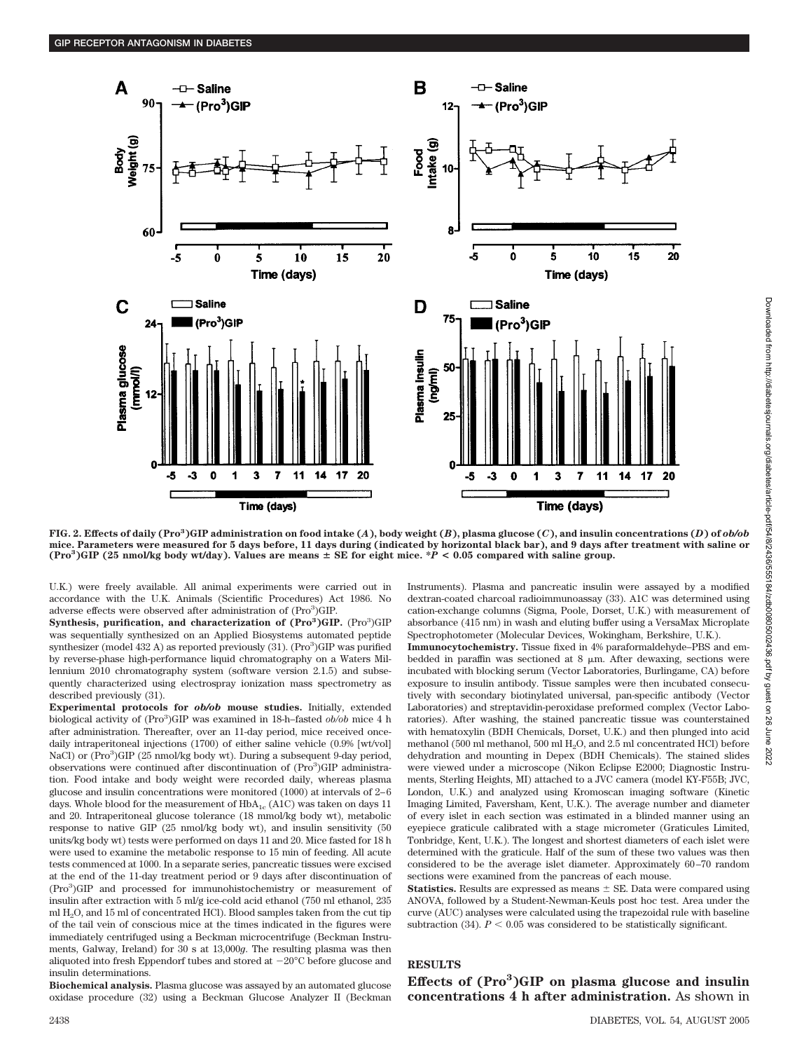

FIG. 2. Effects of daily (Pro<sup>3</sup>)GIP administration on food intake (A), body weight (B), plasma glucose (C), and insulin concentrations (D) of ob/ob **mice. Parameters were measured for 5 days before, 11 days during (indicated by horizontal black bar), and 9 days after treatment with saline or**  $(Pro^3) GIP$  (25 nmol/kg body wt/day). Values are means  $\pm$  SE for eight mice.  $*P < 0.05$  compared with saline group.

U.K.) were freely available. All animal experiments were carried out in accordance with the U.K. Animals (Scientific Procedures) Act 1986. No adverse effects were observed after administration of (Pro<sup>3</sup>)GIP.

Synthesis, purification, and characterization of (Pro<sup>3</sup>)GIP. (Pro<sup>3</sup>)GIP was sequentially synthesized on an Applied Biosystems automated peptide synthesizer (model 432 A) as reported previously (31). (Pro<sup>3</sup>)GIP was purified by reverse-phase high-performance liquid chromatography on a Waters Millennium 2010 chromatography system (software version 2.1.5) and subsequently characterized using electrospray ionization mass spectrometry as described previously (31).

**Experimental protocols for** *ob/ob* **mouse studies.** Initially, extended biological activity of (Pro<sup>3</sup>)GIP was examined in 18-h-fasted *ob/ob* mice 4 h after administration. Thereafter, over an 11-day period, mice received oncedaily intraperitoneal injections (1700) of either saline vehicle (0.9% [wt/vol] NaCl) or (Pro<sup>3</sup>)GIP (25 nmol/kg body wt). During a subsequent 9-day period, observations were continued after discontinuation of (Pro<sup>3</sup>)GIP administration. Food intake and body weight were recorded daily, whereas plasma glucose and insulin concentrations were monitored (1000) at intervals of 2–6 days. Whole blood for the measurement of  $HbA_{1c}$  (A1C) was taken on days 11 and 20. Intraperitoneal glucose tolerance (18 mmol/kg body wt), metabolic response to native GIP (25 nmol/kg body wt), and insulin sensitivity (50 units/kg body wt) tests were performed on days 11 and 20. Mice fasted for 18 h were used to examine the metabolic response to 15 min of feeding. All acute tests commenced at 1000. In a separate series, pancreatic tissues were excised at the end of the 11-day treatment period or 9 days after discontinuation of (Pro<sup>3</sup>)GIP and processed for immunohistochemistry or measurement of insulin after extraction with 5 ml/g ice-cold acid ethanol (750 ml ethanol, 235 ml  $H<sub>2</sub>O$ , and 15 ml of concentrated HCl). Blood samples taken from the cut tip of the tail vein of conscious mice at the times indicated in the figures were immediately centrifuged using a Beckman microcentrifuge (Beckman Instruments, Galway, Ireland) for 30 s at 13,000*g*. The resulting plasma was then aliquoted into fresh Eppendorf tubes and stored at  $-20^{\circ}$ C before glucose and insulin determinations.

**Biochemical analysis.** Plasma glucose was assayed by an automated glucose oxidase procedure (32) using a Beckman Glucose Analyzer II (Beckman Instruments). Plasma and pancreatic insulin were assayed by a modified dextran-coated charcoal radioimmunoassay (33). A1C was determined using cation-exchange columns (Sigma, Poole, Dorset, U.K.) with measurement of absorbance (415 nm) in wash and eluting buffer using a VersaMax Microplate Spectrophotometer (Molecular Devices, Wokingham, Berkshire, U.K.).

**Immunocytochemistry.** Tissue fixed in 4% paraformaldehyde–PBS and embedded in paraffin was sectioned at  $8 \mu m$ . After dewaxing, sections were incubated with blocking serum (Vector Laboratories, Burlingame, CA) before exposure to insulin antibody. Tissue samples were then incubated consecutively with secondary biotinylated universal, pan-specific antibody (Vector Laboratories) and streptavidin-peroxidase preformed complex (Vector Laboratories). After washing, the stained pancreatic tissue was counterstained with hematoxylin (BDH Chemicals, Dorset, U.K.) and then plunged into acid methanol (500 ml methanol, 500 ml H<sub>2</sub>O, and 2.5 ml concentrated HCl) before dehydration and mounting in Depex (BDH Chemicals). The stained slides were viewed under a microscope (Nikon Eclipse E2000; Diagnostic Instruments, Sterling Heights, MI) attached to a JVC camera (model KY-F55B; JVC, London, U.K.) and analyzed using Kromoscan imaging software (Kinetic Imaging Limited, Faversham, Kent, U.K.). The average number and diameter of every islet in each section was estimated in a blinded manner using an eyepiece graticule calibrated with a stage micrometer (Graticules Limited, Tonbridge, Kent, U.K.). The longest and shortest diameters of each islet were determined with the graticule. Half of the sum of these two values was then considered to be the average islet diameter. Approximately 60–70 random sections were examined from the pancreas of each mouse.

**Statistics.** Results are expressed as means  $\pm$  SE. Data were compared using ANOVA, followed by a Student-Newman-Keuls post hoc test. Area under the curve (AUC) analyses were calculated using the trapezoidal rule with baseline subtraction (34).  $P < 0.05$  was considered to be statistically significant.

## **RESULTS**

**Effects of (Pro3 )GIP on plasma glucose and insulin concentrations 4 h after administration.** As shown in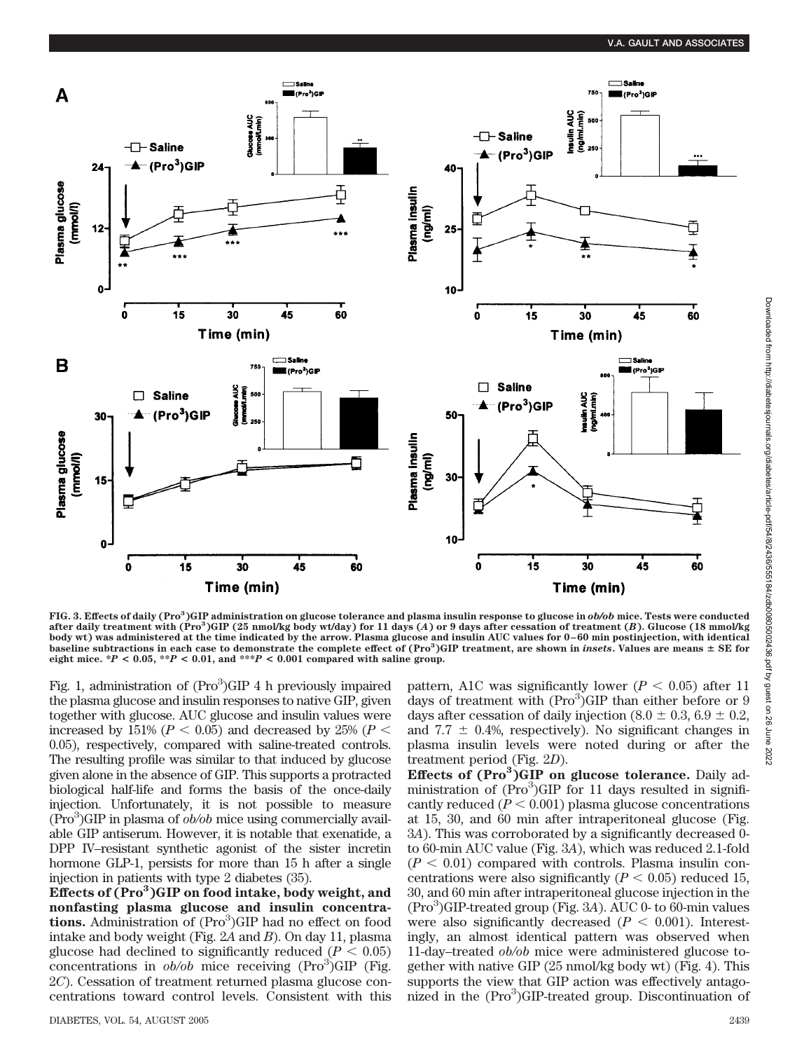

**FIG. 3. Effects of daily (Pro3 )GIP administration on glucose tolerance and plasma insulin response to glucose in** *ob/ob* **mice. Tests were conducted after daily treatment with (Pro3 )GIP (25 nmol/kg body wt/day) for 11 days (***A***) or 9 days after cessation of treatment (***B***). Glucose (18 mmol/kg body wt) was administered at the time indicated by the arrow. Plasma glucose and insulin AUC values for 0–60 min postinjection, with identical baseline subtractions in each case to demonstrate the complete effect of (Pro<sup>3</sup> )GIP treatment, are shown in** *insets***. Values are means** - **SE for eight mice.**  $*P < 0.05$ ,  $*P < 0.01$ , and  $**P < 0.001$  compared with saline group.

Fig. 1, administration of (Pro<sup>3</sup>)GIP 4 h previously impaired the plasma glucose and insulin responses to native GIP, given together with glucose. AUC glucose and insulin values were increased by 151% ( $P < 0.05$ ) and decreased by 25% ( $P <$ 0.05), respectively, compared with saline-treated controls. The resulting profile was similar to that induced by glucose given alone in the absence of GIP. This supports a protracted biological half-life and forms the basis of the once-daily injection. Unfortunately, it is not possible to measure (Pro<sup>3</sup>)GIP in plasma of  $ob/ob$  mice using commercially available GIP antiserum. However, it is notable that exenatide, a DPP IV–resistant synthetic agonist of the sister incretin hormone GLP-1, persists for more than 15 h after a single injection in patients with type 2 diabetes (35).

**Effects of (Pro3 )GIP on food intake, body weight, and nonfasting plasma glucose and insulin concentra**tions. Administration of (Pro<sup>3</sup>)GIP had no effect on food intake and body weight (Fig. 2*A* and *B*). On day 11, plasma glucose had declined to significantly reduced  $(P < 0.05)$ concentrations in  $ob/ob$  mice receiving  $(Pro<sup>3</sup>)GIP$  (Fig. 2*C*). Cessation of treatment returned plasma glucose concentrations toward control levels. Consistent with this

pattern, A1C was significantly lower ( $P < 0.05$ ) after 11 days of treatment with  $(Pro<sup>3</sup>)GIP$  than either before or 9 days after cessation of daily injection  $(8.0 \pm 0.3, 6.9 \pm 0.2,$ and 7.7  $\pm$  0.4%, respectively). No significant changes in plasma insulin levels were noted during or after the treatment period (Fig. 2*D*). **Effects of (Pro3 )GIP on glucose tolerance.** Daily ad-

ministration of (Pro<sup>3</sup>)GIP for 11 days resulted in significantly reduced  $(P < 0.001)$  plasma glucose concentrations at 15, 30, and 60 min after intraperitoneal glucose (Fig. 3*A*). This was corroborated by a significantly decreased 0 to 60-min AUC value (Fig. 3*A*), which was reduced 2.1-fold  $(P < 0.01)$  compared with controls. Plasma insulin concentrations were also significantly  $(P < 0.05)$  reduced 15, 30, and 60 min after intraperitoneal glucose injection in the (Pro3 )GIP-treated group (Fig. 3*A*). AUC 0- to 60-min values were also significantly decreased  $(P < 0.001)$ . Interestingly, an almost identical pattern was observed when 11-day–treated *ob/ob* mice were administered glucose together with native GIP (25 nmol/kg body wt) (Fig. 4). This supports the view that GIP action was effectively antagonized in the (Pro<sup>3</sup>)GIP-treated group. Discontinuation of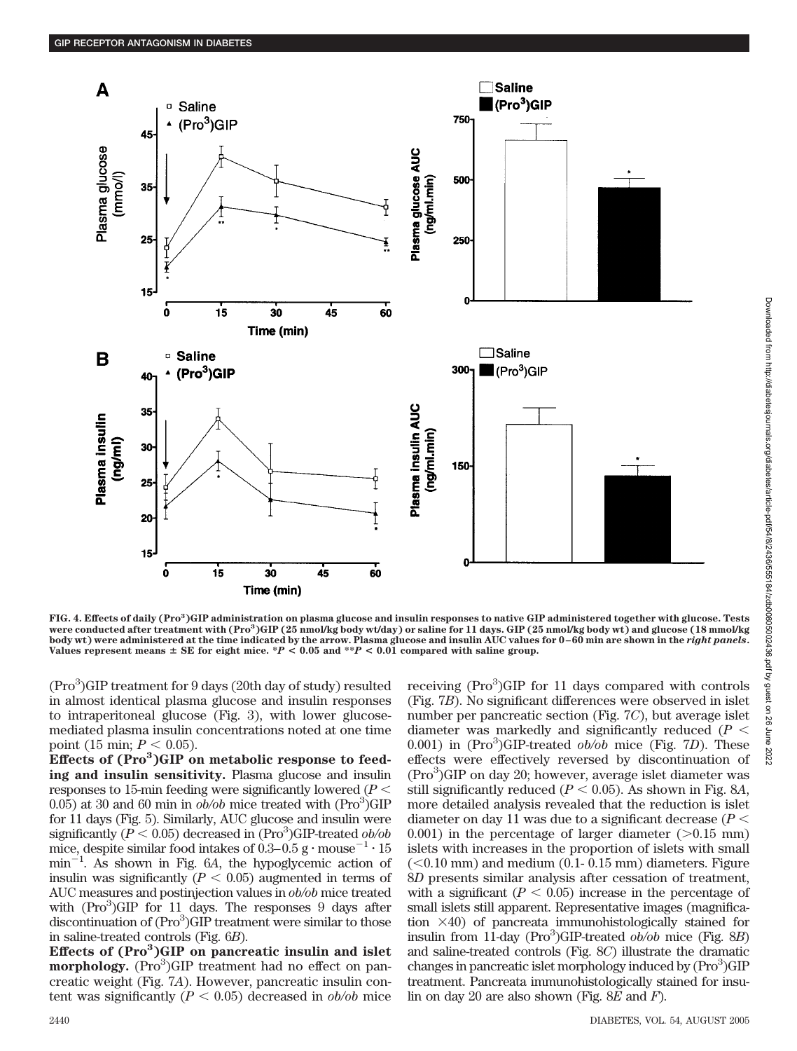

**FIG. 4. Effects of daily (Pro<sup>3</sup> )GIP administration on plasma glucose and insulin responses to native GIP administered together with glucose. Tests were conducted after treatment with (Pro<sup>3</sup> )GIP (25 nmol/kg body wt/day) or saline for 11 days. GIP (25 nmol/kg body wt) and glucose (18 mmol/kg body wt) were administered at the time indicated by the arrow. Plasma glucose and insulin AUC values for 0–60 min are shown in the** *right panels***.** Values represent means  $\pm$  SE for eight mice. \**P* < 0.05 and \*\**P* < 0.01 compared with saline group.

(Pro<sup>3</sup>)GIP treatment for 9 days (20th day of study) resulted in almost identical plasma glucose and insulin responses to intraperitoneal glucose (Fig. 3), with lower glucosemediated plasma insulin concentrations noted at one time point (15 min;  $P < 0.05$ ).

Effects of (Pro<sup>3</sup>)GIP on metabolic response to feed**ing and insulin sensitivity.** Plasma glucose and insulin responses to 15-min feeding were significantly lowered (*P*  $(0.05)$  at 30 and 60 min in  $o\bar{b}/ob$  mice treated with (Pro<sup>3</sup>)GIP for 11 days (Fig. 5). Similarly, AUC glucose and insulin were significantly  $(P < 0.05)$  decreased in  $(\text{Pro}^3)\text{GIP-treated }ob/ob$ mice, despite similar food intakes of  $0.3-0.5$  g  $\cdot$  mouse<sup>-1</sup>  $\cdot$  15  $min^{-1}$ . As shown in Fig. 6*A*, the hypoglycemic action of insulin was significantly  $(P < 0.05)$  augmented in terms of AUC measures and postinjection values in *ob/ob* mice treated with  $(Pro<sup>3</sup>)GIP$  for 11 days. The responses 9 days after discontinuation of (Pro<sup>3</sup>)GIP treatment were similar to those in saline-treated controls (Fig. 6*B*).

**Effects of (Pro3 )GIP on pancreatic insulin and islet** morphology. (Pro<sup>3</sup>)GIP treatment had no effect on pancreatic weight (Fig. 7*A*). However, pancreatic insulin content was significantly  $(P < 0.05)$  decreased in *ob/ob* mice

receiving (Pro<sup>3</sup>)GIP for 11 days compared with controls (Fig. 7*B*). No significant differences were observed in islet number per pancreatic section (Fig. 7*C*), but average islet diameter was markedly and significantly reduced (*P* 0.001) in (Pro<sup>3</sup>)GIP-treated *ob/ob* mice (Fig. 7D). These effects were effectively reversed by discontinuation of (Pro<sup>3</sup>)GIP on day 20; however, average islet diameter was still significantly reduced ( $P < 0.05$ ). As shown in Fig. 8*A*, more detailed analysis revealed that the reduction is islet diameter on day 11 was due to a significant decrease (*P* 0.001) in the percentage of larger diameter  $(>0.15$  mm) islets with increases in the proportion of islets with small  $(< 0.10$  mm) and medium  $(0.1 - 0.15$  mm) diameters. Figure 8*D* presents similar analysis after cessation of treatment, with a significant  $(P < 0.05)$  increase in the percentage of small islets still apparent. Representative images (magnification  $\times$ 40) of pancreata immunohistologically stained for insulin from 11-day (Pro<sup>3</sup>)GIP-treated *ob/ob* mice (Fig. 8*B*) and saline-treated controls (Fig. 8*C*) illustrate the dramatic changes in pancreatic islet morphology induced by (Pro<sup>3</sup>)GIP treatment. Pancreata immunohistologically stained for insulin on day 20 are also shown (Fig. 8*E* and *F*).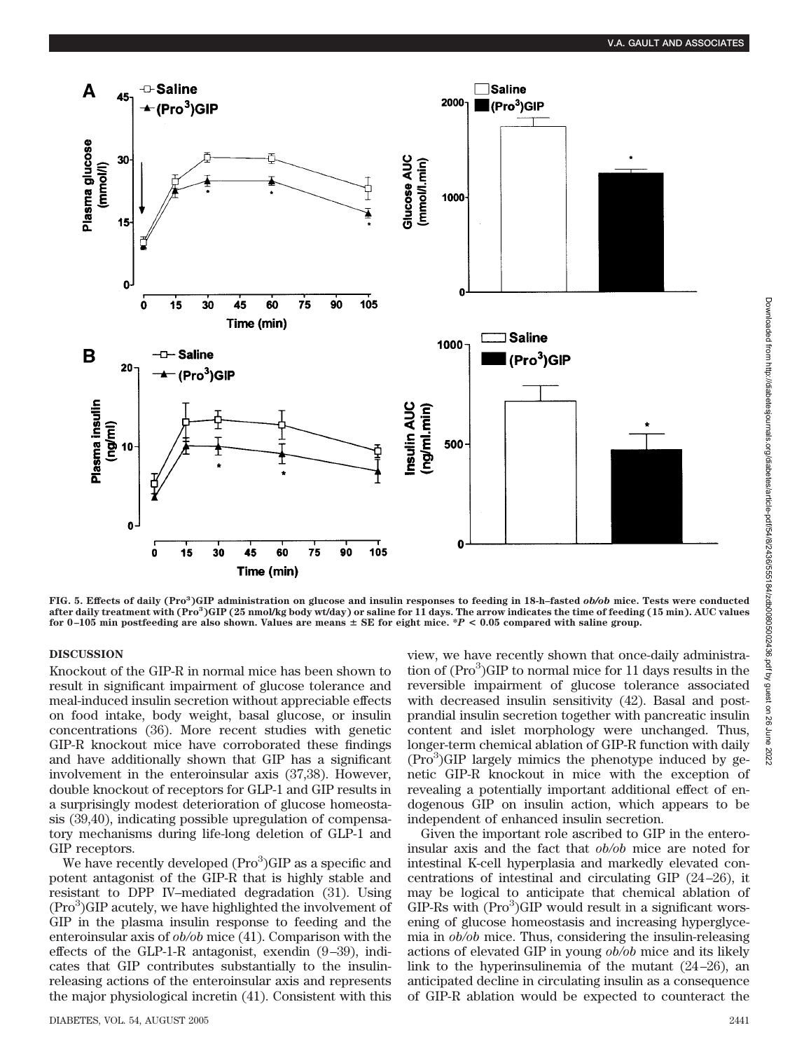

**FIG. 5. Effects of daily (Pro3 )GIP administration on glucose and insulin responses to feeding in 18-h–fasted** *ob/ob* **mice. Tests were conducted after daily treatment with (Pro3 )GIP (25 nmol/kg body wt/day) or saline for 11 days. The arrow indicates the time of feeding (15 min). AUC values** for  $0-105$  min postfeeding are also shown. Values are means  $\pm$  SE for eight mice.  $*P < 0.05$  compared with saline group.

### **DISCUSSION**

Knockout of the GIP-R in normal mice has been shown to result in significant impairment of glucose tolerance and meal-induced insulin secretion without appreciable effects on food intake, body weight, basal glucose, or insulin concentrations (36). More recent studies with genetic GIP-R knockout mice have corroborated these findings and have additionally shown that GIP has a significant involvement in the enteroinsular axis (37,38). However, double knockout of receptors for GLP-1 and GIP results in a surprisingly modest deterioration of glucose homeostasis (39,40), indicating possible upregulation of compensatory mechanisms during life-long deletion of GLP-1 and GIP receptors.

We have recently developed (Pro<sup>3</sup>)GIP as a specific and potent antagonist of the GIP-R that is highly stable and resistant to DPP IV–mediated degradation (31). Using (Pro<sup>3</sup>)GIP acutely, we have highlighted the involvement of GIP in the plasma insulin response to feeding and the enteroinsular axis of *ob/ob* mice (41). Comparison with the effects of the GLP-1-R antagonist, exendin (9–39), indicates that GIP contributes substantially to the insulinreleasing actions of the enteroinsular axis and represents the major physiological incretin (41). Consistent with this view, we have recently shown that once-daily administration of (Pro<sup>3</sup>)GIP to normal mice for 11 days results in the reversible impairment of glucose tolerance associated with decreased insulin sensitivity (42). Basal and postprandial insulin secretion together with pancreatic insulin content and islet morphology were unchanged. Thus, longer-term chemical ablation of GIP-R function with daily  $(Pro<sup>3</sup>) GIP$  largely mimics the phenotype induced by genetic GIP-R knockout in mice with the exception of revealing a potentially important additional effect of endogenous GIP on insulin action, which appears to be independent of enhanced insulin secretion.

Given the important role ascribed to GIP in the enteroinsular axis and the fact that *ob/ob* mice are noted for intestinal K-cell hyperplasia and markedly elevated concentrations of intestinal and circulating GIP (24–26), it may be logical to anticipate that chemical ablation of  $GIP-Rs$  with  $(Pro<sup>3</sup>)GIP$  would result in a significant worsening of glucose homeostasis and increasing hyperglycemia in *ob/ob* mice. Thus, considering the insulin-releasing actions of elevated GIP in young *ob/ob* mice and its likely link to the hyperinsulinemia of the mutant (24–26), an anticipated decline in circulating insulin as a consequence of GIP-R ablation would be expected to counteract the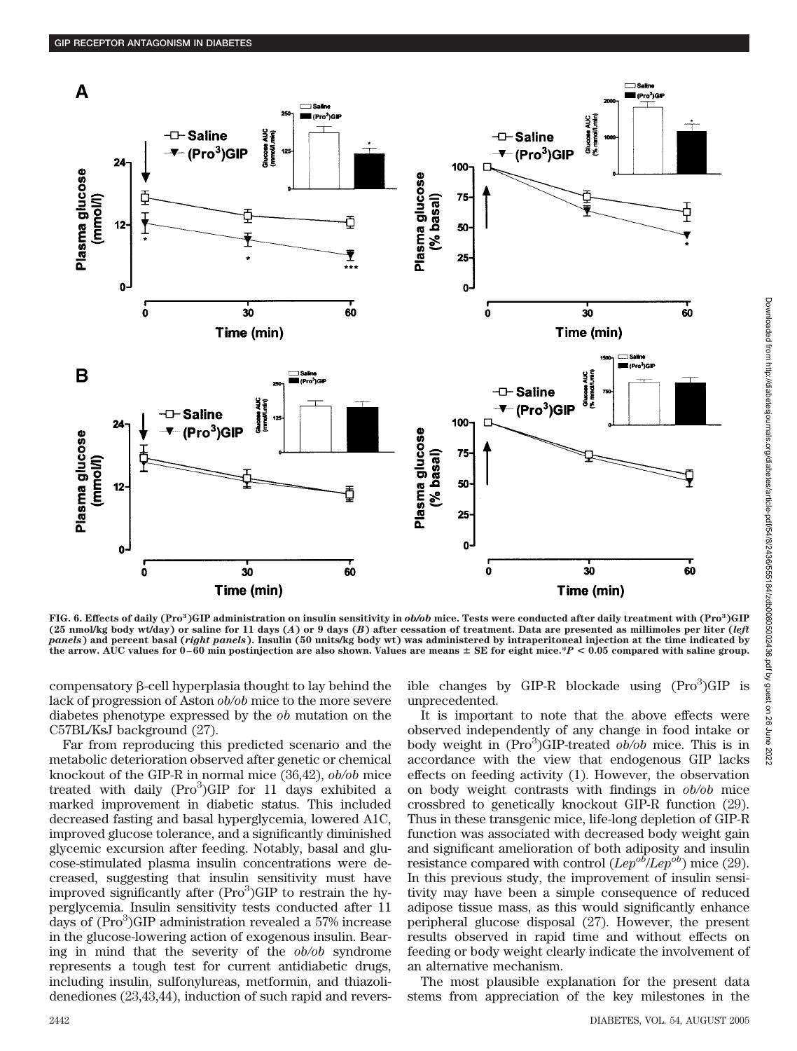

**FIG. 6. Effects of daily (Pro3 )GIP administration on insulin sensitivity in** *ob/ob* **mice. Tests were conducted after daily treatment with (Pro3 )GIP (25 nmol/kg body wt/day) or saline for 11 days (***A***) or 9 days (***B***) after cessation of treatment. Data are presented as millimoles per liter (***left panels***) and percent basal (***right panels***). Insulin (50 units/kg body wt) was administered by intraperitoneal injection at the time indicated by** the arrow. AUC values for  $0-60$  min postinjection are also shown. Values are means  $\pm$  SE for eight mice.\* $P < 0.05$  compared with saline group.

compensatory  $\beta$ -cell hyperplasia thought to lay behind the lack of progression of Aston *ob/ob* mice to the more severe diabetes phenotype expressed by the *ob* mutation on the C57BL/KsJ background (27).

Far from reproducing this predicted scenario and the metabolic deterioration observed after genetic or chemical knockout of the GIP-R in normal mice (36,42), *ob/ob* mice treated with daily (Pro<sup>3</sup>)GIP for 11 days exhibited a marked improvement in diabetic status. This included decreased fasting and basal hyperglycemia, lowered A1C, improved glucose tolerance, and a significantly diminished glycemic excursion after feeding. Notably, basal and glucose-stimulated plasma insulin concentrations were decreased, suggesting that insulin sensitivity must have improved significantly after (Pro<sup>3</sup>)GIP to restrain the hyperglycemia. Insulin sensitivity tests conducted after 11 days of (Pro<sup>3</sup>)GIP administration revealed a 57% increase in the glucose-lowering action of exogenous insulin. Bearing in mind that the severity of the *ob/ob* syndrome represents a tough test for current antidiabetic drugs, including insulin, sulfonylureas, metformin, and thiazolidenediones (23,43,44), induction of such rapid and revers-

ible changes by GIP-R blockade using (Pro<sup>3</sup>)GIP is unprecedented.

It is important to note that the above effects were observed independently of any change in food intake or body weight in (Pro<sup>3</sup>)GIP-treated *ob*/ob mice. This is in accordance with the view that endogenous GIP lacks effects on feeding activity (1). However, the observation on body weight contrasts with findings in *ob/ob* mice crossbred to genetically knockout GIP-R function (29). Thus in these transgenic mice, life-long depletion of GIP-R function was associated with decreased body weight gain and significant amelioration of both adiposity and insulin resistance compared with control  $(Lep^{o\bar{b}}/Lep^{o\bar{b}})$  mice (29). In this previous study, the improvement of insulin sensitivity may have been a simple consequence of reduced adipose tissue mass, as this would significantly enhance peripheral glucose disposal (27). However, the present results observed in rapid time and without effects on feeding or body weight clearly indicate the involvement of an alternative mechanism.

The most plausible explanation for the present data stems from appreciation of the key milestones in the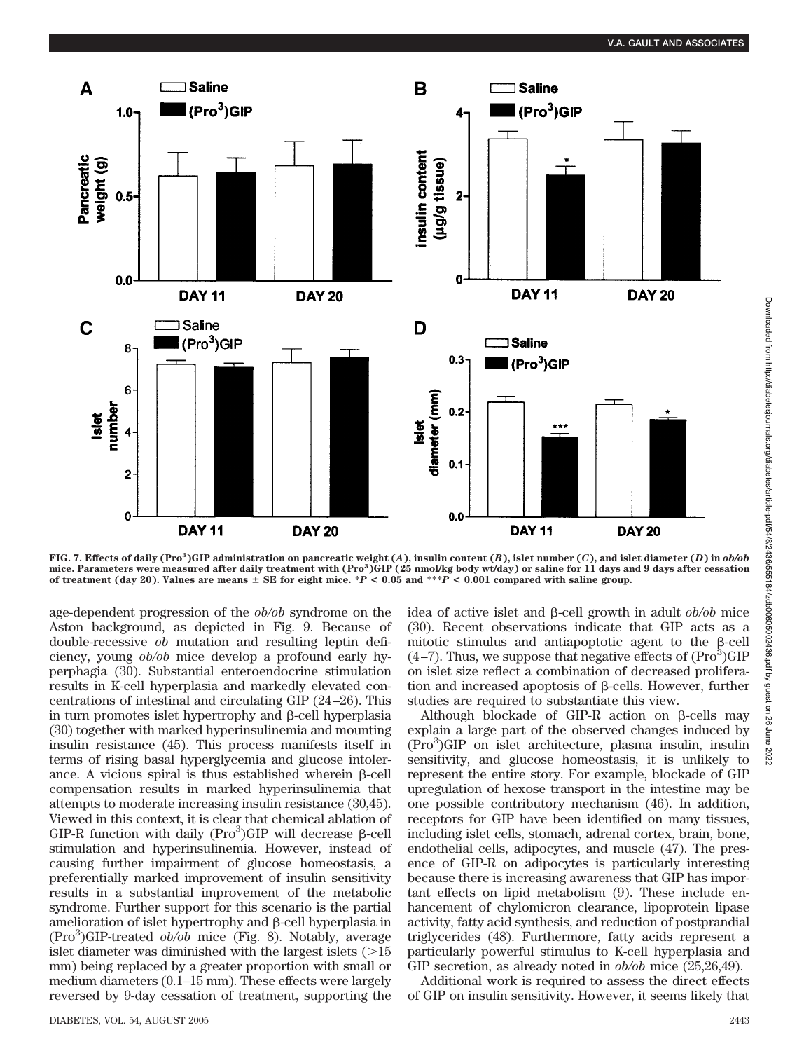

FIG. 7. Effects of daily (Pro<sup>3</sup>)GIP administration on pancreatic weight (A), insulin content (B), islet number (*C*), and islet diameter (*D*) in ob/ob<br>mice. Parameters were measured after daily treatment with (Pro<sup>3</sup>)GIP of treatment (day 20). Values are means  $\pm$  SE for eight mice.  $*P < 0.05$  and  $***P < 0.001$  compared with saline group.

age-dependent progression of the *ob/ob* syndrome on the Aston background, as depicted in Fig. 9. Because of double-recessive *ob* mutation and resulting leptin deficiency, young *ob/ob* mice develop a profound early hyperphagia (30). Substantial enteroendocrine stimulation results in K-cell hyperplasia and markedly elevated concentrations of intestinal and circulating GIP (24–26). This in turn promotes islet hypertrophy and  $\beta$ -cell hyperplasia (30) together with marked hyperinsulinemia and mounting insulin resistance (45). This process manifests itself in terms of rising basal hyperglycemia and glucose intolerance. A vicious spiral is thus established wherein  $\beta$ -cell compensation results in marked hyperinsulinemia that attempts to moderate increasing insulin resistance (30,45). Viewed in this context, it is clear that chemical ablation of GIP-R function with daily (Pro $3$ )GIP will decrease  $\beta$ -cell stimulation and hyperinsulinemia. However, instead of causing further impairment of glucose homeostasis, a preferentially marked improvement of insulin sensitivity results in a substantial improvement of the metabolic syndrome. Further support for this scenario is the partial amelioration of islet hypertrophy and  $\beta$ -cell hyperplasia in (Pro<sup>3</sup>)GIP-treated *ob/ob* mice (Fig. 8). Notably, average islet diameter was diminished with the largest islets  $(>15$ mm) being replaced by a greater proportion with small or medium diameters (0.1–15 mm). These effects were largely reversed by 9-day cessation of treatment, supporting the

idea of active islet and β-cell growth in adult *ob/ob* mice (30). Recent observations indicate that GIP acts as a mitotic stimulus and antiapoptotic agent to the  $\beta$ -cell  $(4-7)$ . Thus, we suppose that negative effects of  $(Pro<sup>3</sup>)GIP$ on islet size reflect a combination of decreased proliferation and increased apoptosis of  $\beta$ -cells. However, further studies are required to substantiate this view.

Although blockade of GIP-R action on  $\beta$ -cells may explain a large part of the observed changes induced by (Pro<sup>3</sup>)GIP on islet architecture, plasma insulin, insulin sensitivity, and glucose homeostasis, it is unlikely to represent the entire story. For example, blockade of GIP upregulation of hexose transport in the intestine may be one possible contributory mechanism (46). In addition, receptors for GIP have been identified on many tissues, including islet cells, stomach, adrenal cortex, brain, bone, endothelial cells, adipocytes, and muscle (47). The presence of GIP-R on adipocytes is particularly interesting because there is increasing awareness that GIP has important effects on lipid metabolism (9). These include enhancement of chylomicron clearance, lipoprotein lipase activity, fatty acid synthesis, and reduction of postprandial triglycerides (48). Furthermore, fatty acids represent a particularly powerful stimulus to K-cell hyperplasia and GIP secretion, as already noted in *ob/ob* mice (25,26,49).

Additional work is required to assess the direct effects of GIP on insulin sensitivity. However, it seems likely that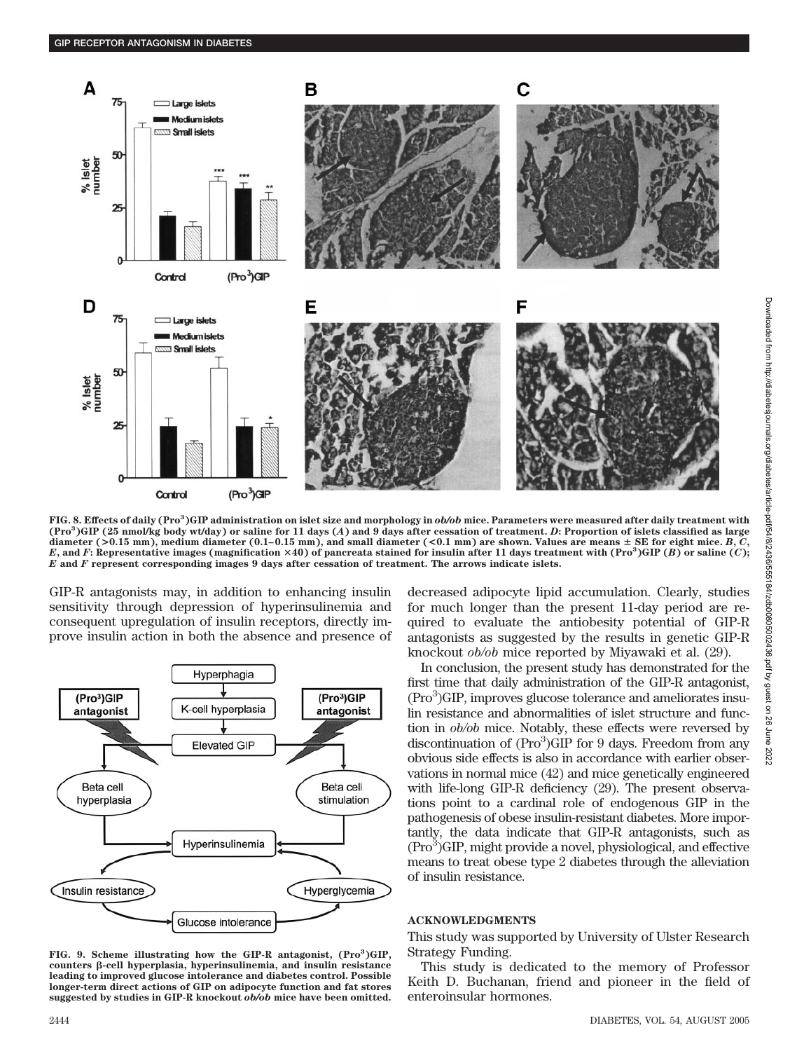

**FIG. 8. Effects of daily (Pro3 )GIP administration on islet size and morphology in** *ob/ob* **mice. Parameters were measured after daily treatment with (Pro<sup>3</sup> )GIP (25 nmol/kg body wt/day) or saline for 11 days (***A***) and 9 days after cessation of treatment.** *D***: Proportion of islets classified as large** diameter ( $>0.15$  mm), medium diameter ( $0.1-0.15$  mm), and small diameter ( $< 0.1$  mm) are shown. Values are means  $\pm$  SE for eight mice. B, C, *E*, and *F*: Representative images (magnification  $\times$  40) of pancreata stained for insulin after 11 days treatment with (Pro<sup>3</sup>)GIP (*B*) or saline (*C*); *E* **and** *F* **represent corresponding images 9 days after cessation of treatment. The arrows indicate islets.**

GIP-R antagonists may, in addition to enhancing insulin sensitivity through depression of hyperinsulinemia and consequent upregulation of insulin receptors, directly improve insulin action in both the absence and presence of



**FIG. 9. Scheme illustrating how the GIP-R antagonist, (Pro<sup>3</sup> )GIP, counters -cell hyperplasia, hyperinsulinemia, and insulin resistance leading to improved glucose intolerance and diabetes control. Possible longer-term direct actions of GIP on adipocyte function and fat stores suggested by studies in GIP-R knockout** *ob/ob* **mice have been omitted.**

decreased adipocyte lipid accumulation. Clearly, studies for much longer than the present 11-day period are required to evaluate the antiobesity potential of GIP-R antagonists as suggested by the results in genetic GIP-R knockout *ob/ob* mice reported by Miyawaki et al. (29).

In conclusion, the present study has demonstrated for the first time that daily administration of the GIP-R antagonist, (Pro<sup>3</sup>)GIP, improves glucose tolerance and ameliorates insulin resistance and abnormalities of islet structure and function in *ob/ob* mice. Notably, these effects were reversed by discontinuation of  $(Pro<sup>3</sup>)GIP$  for 9 days. Freedom from any obvious side effects is also in accordance with earlier observations in normal mice (42) and mice genetically engineered with life-long GIP-R deficiency (29). The present observations point to a cardinal role of endogenous GIP in the pathogenesis of obese insulin-resistant diabetes. More importantly, the data indicate that GIP-R antagonists, such as (Pro<sup>3</sup>)GIP, might provide a novel, physiological, and effective means to treat obese type 2 diabetes through the alleviation of insulin resistance.

### **ACKNOWLEDGMENTS**

This study was supported by University of Ulster Research Strategy Funding.

This study is dedicated to the memory of Professor Keith D. Buchanan, friend and pioneer in the field of enteroinsular hormones.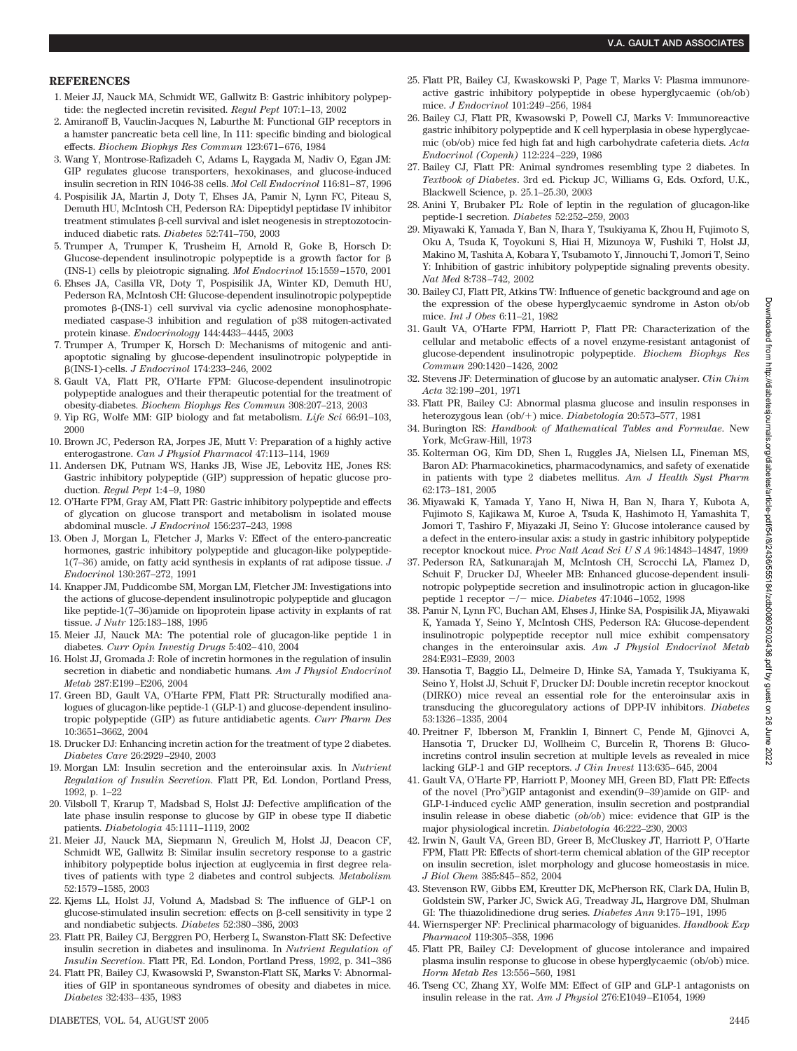- 1. Meier JJ, Nauck MA, Schmidt WE, Gallwitz B: Gastric inhibitory polypeptide: the neglected incretin revisited. *Regul Pept* 107:1–13, 2002
- 2. Amiranoff B, Vauclin-Jacques N, Laburthe M: Functional GIP receptors in a hamster pancreatic beta cell line, In 111: specific binding and biological effects. *Biochem Biophys Res Commun* 123:671–676, 1984
- 3. Wang Y, Montrose-Rafizadeh C, Adams L, Raygada M, Nadiv O, Egan JM: GIP regulates glucose transporters, hexokinases, and glucose-induced insulin secretion in RIN 1046-38 cells. *Mol Cell Endocrinol* 116:81–87, 1996
- 4. Pospisilik JA, Martin J, Doty T, Ehses JA, Pamir N, Lynn FC, Piteau S, Demuth HU, McIntosh CH, Pederson RA: Dipeptidyl peptidase IV inhibitor  $t$ reatment stimulates  $\beta$ -cell survival and islet neogenesis in streptozotocininduced diabetic rats. *Diabetes* 52:741–750, 2003
- 5. Trumper A, Trumper K, Trusheim H, Arnold R, Goke B, Horsch D: Glucose-dependent insulinotropic polypeptide is a growth factor for  $\beta$ (INS-1) cells by pleiotropic signaling. *Mol Endocrinol* 15:1559–1570, 2001
- 6. Ehses JA, Casilla VR, Doty T, Pospisilik JA, Winter KD, Demuth HU, Pederson RA, McIntosh CH: Glucose-dependent insulinotropic polypeptide promotes  $\beta$ -(INS-1) cell survival via cyclic adenosine monophosphatemediated caspase-3 inhibition and regulation of p38 mitogen-activated protein kinase. *Endocrinology* 144:4433–4445, 2003
- 7. Trumper A, Trumper K, Horsch D: Mechanisms of mitogenic and antiapoptotic signaling by glucose-dependent insulinotropic polypeptide in (INS-1)-cells. *J Endocrinol* 174:233–246, 2002
- 8. Gault VA, Flatt PR, O'Harte FPM: Glucose-dependent insulinotropic polypeptide analogues and their therapeutic potential for the treatment of obesity-diabetes. *Biochem Biophys Res Commun* 308:207–213, 2003
- 9. Yip RG, Wolfe MM: GIP biology and fat metabolism. *Life Sci* 66:91–103, 2000
- 10. Brown JC, Pederson RA, Jorpes JE, Mutt V: Preparation of a highly active enterogastrone. *Can J Physiol Pharmacol* 47:113–114, 1969
- 11. Andersen DK, Putnam WS, Hanks JB, Wise JE, Lebovitz HE, Jones RS: Gastric inhibitory polypeptide (GIP) suppression of hepatic glucose production. *Regul Pept* 1:4–9, 1980
- 12. O'Harte FPM, Gray AM, Flatt PR: Gastric inhibitory polypeptide and effects of glycation on glucose transport and metabolism in isolated mouse abdominal muscle. *J Endocrinol* 156:237–243, 1998
- 13. Oben J, Morgan L, Fletcher J, Marks V: Effect of the entero-pancreatic hormones, gastric inhibitory polypeptide and glucagon-like polypeptide-1(7–36) amide, on fatty acid synthesis in explants of rat adipose tissue. *J Endocrinol* 130:267–272, 1991
- 14. Knapper JM, Puddicombe SM, Morgan LM, Fletcher JM: Investigations into the actions of glucose-dependent insulinotropic polypeptide and glucagon like peptide-1(7–36)amide on lipoprotein lipase activity in explants of rat tissue. *J Nutr* 125:183–188, 1995
- 15. Meier JJ, Nauck MA: The potential role of glucagon-like peptide 1 in diabetes. *Curr Opin Investig Drugs* 5:402–410, 2004
- 16. Holst JJ, Gromada J: Role of incretin hormones in the regulation of insulin secretion in diabetic and nondiabetic humans. *Am J Physiol Endocrinol Metab* 287:E199–E206, 2004
- 17. Green BD, Gault VA, O'Harte FPM, Flatt PR: Structurally modified analogues of glucagon-like peptide-1 (GLP-1) and glucose-dependent insulinotropic polypeptide (GIP) as future antidiabetic agents. *Curr Pharm Des* 10:3651–3662, 2004
- 18. Drucker DJ: Enhancing incretin action for the treatment of type 2 diabetes. *Diabetes Care* 26:2929–2940, 2003
- 19. Morgan LM: Insulin secretion and the enteroinsular axis. In *Nutrient Regulation of Insulin Secretion*. Flatt PR, Ed. London, Portland Press, 1992, p. 1–22
- 20. Vilsboll T, Krarup T, Madsbad S, Holst JJ: Defective amplification of the late phase insulin response to glucose by GIP in obese type II diabetic patients. *Diabetologia* 45:1111–1119, 2002
- 21. Meier JJ, Nauck MA, Siepmann N, Greulich M, Holst JJ, Deacon CF, Schmidt WE, Gallwitz B: Similar insulin secretory response to a gastric inhibitory polypeptide bolus injection at euglycemia in first degree relatives of patients with type 2 diabetes and control subjects. *Metabolism* 52:1579–1585, 2003
- 22. Kjems LL, Holst JJ, Volund A, Madsbad S: The influence of GLP-1 on glucose-stimulated insulin secretion: effects on  $\beta$ -cell sensitivity in type 2 and nondiabetic subjects. *Diabetes* 52:380–386, 2003
- 23. Flatt PR, Bailey CJ, Berggren PO, Herberg L, Swanston-Flatt SK: Defective insulin secretion in diabetes and insulinoma. In *Nutrient Regulation of Insulin Secretion*. Flatt PR, Ed. London, Portland Press, 1992, p. 341–386
- 24. Flatt PR, Bailey CJ, Kwasowski P, Swanston-Flatt SK, Marks V: Abnormalities of GIP in spontaneous syndromes of obesity and diabetes in mice. *Diabetes* 32:433–435, 1983
- 25. Flatt PR, Bailey CJ, Kwaskowski P, Page T, Marks V: Plasma immunoreactive gastric inhibitory polypeptide in obese hyperglycaemic (ob/ob) mice. *J Endocrinol* 101:249–256, 1984
- 26. Bailey CJ, Flatt PR, Kwasowski P, Powell CJ, Marks V: Immunoreactive gastric inhibitory polypeptide and K cell hyperplasia in obese hyperglycaemic (ob/ob) mice fed high fat and high carbohydrate cafeteria diets. *Acta Endocrinol (Copenh)* 112:224–229, 1986
- 27. Bailey CJ, Flatt PR: Animal syndromes resembling type 2 diabetes. In *Textbook of Diabetes*. 3rd ed. Pickup JC, Williams G, Eds. Oxford, U.K., Blackwell Science, p. 25.1–25.30, 2003
- 28. Anini Y, Brubaker PL: Role of leptin in the regulation of glucagon-like peptide-1 secretion. *Diabetes* 52:252–259, 2003
- 29. Miyawaki K, Yamada Y, Ban N, Ihara Y, Tsukiyama K, Zhou H, Fujimoto S, Oku A, Tsuda K, Toyokuni S, Hiai H, Mizunoya W, Fushiki T, Holst JJ, Makino M, Tashita A, Kobara Y, Tsubamoto Y, Jinnouchi T, Jomori T, Seino Y: Inhibition of gastric inhibitory polypeptide signaling prevents obesity. *Nat Med* 8:738–742, 2002
- 30. Bailey CJ, Flatt PR, Atkins TW: Influence of genetic background and age on the expression of the obese hyperglycaemic syndrome in Aston ob/ob mice. *Int J Obes* 6:11–21, 1982
- 31. Gault VA, O'Harte FPM, Harriott P, Flatt PR: Characterization of the cellular and metabolic effects of a novel enzyme-resistant antagonist of glucose-dependent insulinotropic polypeptide. *Biochem Biophys Res Commun* 290:1420–1426, 2002
- 32. Stevens JF: Determination of glucose by an automatic analyser. *Clin Chim Acta* 32:199–201, 1971
- 33. Flatt PR, Bailey CJ: Abnormal plasma glucose and insulin responses in heterozygous lean (ob/+) mice. *Diabetologia* 20:573-577, 1981
- 34. Burington RS: *Handbook of Mathematical Tables and Formulae*. New York, McGraw-Hill, 1973
- 35. Kolterman OG, Kim DD, Shen L, Ruggles JA, Nielsen LL, Fineman MS, Baron AD: Pharmacokinetics, pharmacodynamics, and safety of exenatide in patients with type 2 diabetes mellitus. *Am J Health Syst Pharm* 62:173–181, 2005
- 36. Miyawaki K, Yamada Y, Yano H, Niwa H, Ban N, Ihara Y, Kubota A, Fujimoto S, Kajikawa M, Kuroe A, Tsuda K, Hashimoto H, Yamashita T, Jomori T, Tashiro F, Miyazaki JI, Seino Y: Glucose intolerance caused by a defect in the entero-insular axis: a study in gastric inhibitory polypeptide receptor knockout mice. *Proc Natl Acad SciUSA* 96:14843–14847, 1999
- 37. Pederson RA, Satkunarajah M, McIntosh CH, Scrocchi LA, Flamez D, Schuit F, Drucker DJ, Wheeler MB: Enhanced glucose-dependent insulinotropic polypeptide secretion and insulinotropic action in glucagon-like peptide 1 receptor  $-/-$  mice. *Diabetes* 47:1046-1052, 1998
- 38. Pamir N, Lynn FC, Buchan AM, Ehses J, Hinke SA, Pospisilik JA, Miyawaki K, Yamada Y, Seino Y, McIntosh CHS, Pederson RA: Glucose-dependent insulinotropic polypeptide receptor null mice exhibit compensatory changes in the enteroinsular axis. *Am J Physiol Endocrinol Metab* 284:E931–E939, 2003
- 39. Hansotia T, Baggio LL, Delmeire D, Hinke SA, Yamada Y, Tsukiyama K, Seino Y, Holst JJ, Schuit F, Drucker DJ: Double incretin receptor knockout (DIRKO) mice reveal an essential role for the enteroinsular axis in transducing the glucoregulatory actions of DPP-IV inhibitors. *Diabetes* 53:1326–1335, 2004
- 40. Preitner F, Ibberson M, Franklin I, Binnert C, Pende M, Gjinovci A, Hansotia T, Drucker DJ, Wollheim C, Burcelin R, Thorens B: Glucoincretins control insulin secretion at multiple levels as revealed in mice lacking GLP-1 and GIP receptors. *J Clin Invest* 113:635–645, 2004
- 41. Gault VA, O'Harte FP, Harriott P, Mooney MH, Green BD, Flatt PR: Effects of the novel (Pro<sup>3</sup>)GIP antagonist and exendin(9-39)amide on GIP- and GLP-1-induced cyclic AMP generation, insulin secretion and postprandial insulin release in obese diabetic (*ob/ob*) mice: evidence that GIP is the major physiological incretin. *Diabetologia* 46:222–230, 2003
- 42. Irwin N, Gault VA, Green BD, Greer B, McCluskey JT, Harriott P, O'Harte FPM, Flatt PR: Effects of short-term chemical ablation of the GIP receptor on insulin secretion, islet morphology and glucose homeostasis in mice. *J Biol Chem* 385:845–852, 2004
- 43. Stevenson RW, Gibbs EM, Kreutter DK, McPherson RK, Clark DA, Hulin B, Goldstein SW, Parker JC, Swick AG, Treadway JL, Hargrove DM, Shulman GI: The thiazolidinedione drug series. *Diabetes Ann* 9:175–191, 1995
- 44. Wiernsperger NF: Preclinical pharmacology of biguanides. *Handbook Exp Pharmacol* 119:305–358, 1996
- 45. Flatt PR, Bailey CJ: Development of glucose intolerance and impaired plasma insulin response to glucose in obese hyperglycaemic (ob/ob) mice. *Horm Metab Res* 13:556–560, 1981
- 46. Tseng CC, Zhang XY, Wolfe MM: Effect of GIP and GLP-1 antagonists on insulin release in the rat. *Am J Physiol* 276:E1049–E1054, 1999